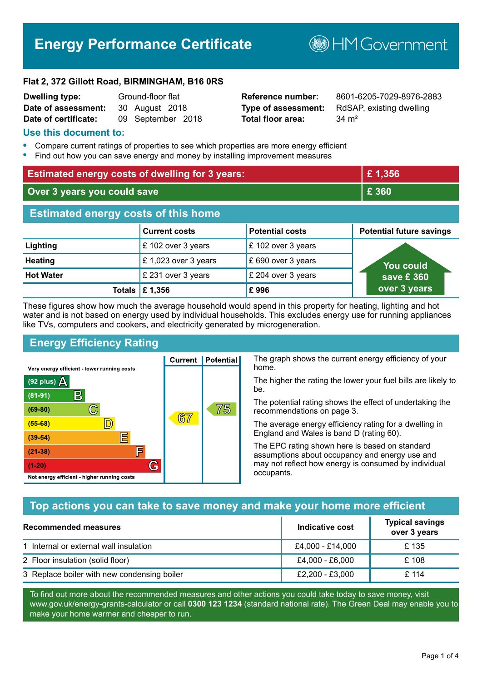# **Energy Performance Certificate**

**B**HM Government

#### **Flat 2, 372 Gillott Road, BIRMINGHAM, B16 0RS**

| <b>Dwelling type:</b> | Ground-floor flat |
|-----------------------|-------------------|
| Date of assessment:   | 30 August 2018    |
| Date of certificate:  | 09 September 2018 |

**Total floor area:** 34 m<sup>2</sup>

**Reference number:** 8601-6205-7029-8976-2883 **Type of assessment:** RdSAP, existing dwelling

#### **Use this document to:**

- **•** Compare current ratings of properties to see which properties are more energy efficient
- **•** Find out how you can save energy and money by installing improvement measures

| <b>Estimated energy costs of dwelling for 3 years:</b> |                      |                        | £1,356                          |
|--------------------------------------------------------|----------------------|------------------------|---------------------------------|
| Over 3 years you could save                            |                      |                        | £ 360                           |
| <b>Estimated energy costs of this home</b>             |                      |                        |                                 |
|                                                        | <b>Current costs</b> | <b>Potential costs</b> | <b>Potential future savings</b> |
| Lighting                                               | £ 102 over 3 years   | £ 102 over 3 years     |                                 |
| <b>Heating</b>                                         | £ 1,023 over 3 years | £690 over 3 years      | <u>You could</u>                |
| <b>Hot Water</b>                                       | £ 231 over 3 years   | £ 204 over 3 years     | save £ 360                      |
| Totals                                                 | £1,356               | £996                   | over 3 years                    |

These figures show how much the average household would spend in this property for heating, lighting and hot water and is not based on energy used by individual households. This excludes energy use for running appliances like TVs, computers and cookers, and electricity generated by microgeneration.

**Current | Potential** 

 $67$ 

## **Energy Efficiency Rating**

 $\mathbb{C}$ 

 $\mathbb{D}$ 

E

庐

G

Very energy efficient - lower running costs

R

Not energy efficient - higher running costs

 $(92$  plus)

 $(81 - 91)$ 

 $(69 - 80)$ 

 $(55-68)$ 

 $(39 - 54)$ 

 $(21-38)$ 

 $(1-20)$ 

- 70

The graph shows the current energy efficiency of your home.

The higher the rating the lower your fuel bills are likely to be.

The potential rating shows the effect of undertaking the recommendations on page 3.

The average energy efficiency rating for a dwelling in England and Wales is band D (rating 60).

The EPC rating shown here is based on standard assumptions about occupancy and energy use and may not reflect how energy is consumed by individual occupants.

## **Top actions you can take to save money and make your home more efficient**

75

| Recommended measures                        | Indicative cost  | <b>Typical savings</b><br>over 3 years |
|---------------------------------------------|------------------|----------------------------------------|
| 1 Internal or external wall insulation      | £4,000 - £14,000 | £ 135                                  |
| 2 Floor insulation (solid floor)            | £4,000 - £6,000  | £ 108                                  |
| 3 Replace boiler with new condensing boiler | £2,200 - £3,000  | £114                                   |

To find out more about the recommended measures and other actions you could take today to save money, visit www.gov.uk/energy-grants-calculator or call **0300 123 1234** (standard national rate). The Green Deal may enable you to make your home warmer and cheaper to run.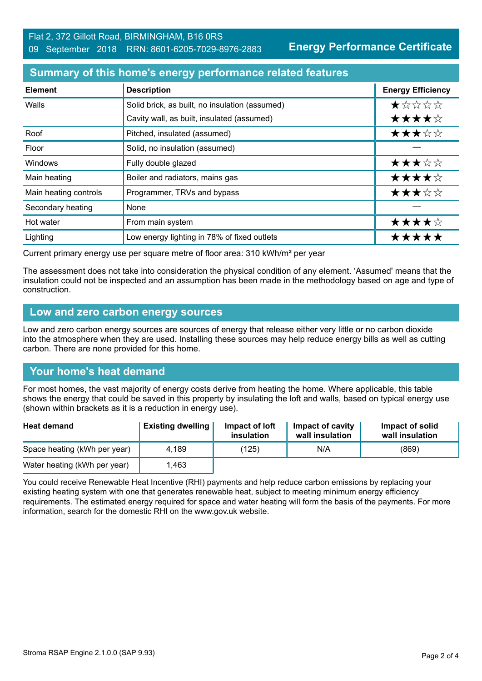**Energy Performance Certificate**

## **Summary of this home's energy performance related features**

| <b>Element</b>        | <b>Description</b>                             | <b>Energy Efficiency</b> |
|-----------------------|------------------------------------------------|--------------------------|
| Walls                 | Solid brick, as built, no insulation (assumed) | *****                    |
|                       | Cavity wall, as built, insulated (assumed)     | ★★★★☆                    |
| Roof                  | Pitched, insulated (assumed)                   | ★★★☆☆                    |
| Floor                 | Solid, no insulation (assumed)                 |                          |
| <b>Windows</b>        | Fully double glazed                            | ★★★☆☆                    |
| Main heating          | Boiler and radiators, mains gas                | ★★★★☆                    |
| Main heating controls | Programmer, TRVs and bypass                    | ★★★☆☆                    |
| Secondary heating     | None                                           |                          |
| Hot water             | From main system                               | ★★★★☆                    |
| Lighting              | Low energy lighting in 78% of fixed outlets    | *****                    |

Current primary energy use per square metre of floor area: 310 kWh/m² per year

The assessment does not take into consideration the physical condition of any element. 'Assumed' means that the insulation could not be inspected and an assumption has been made in the methodology based on age and type of construction.

### **Low and zero carbon energy sources**

Low and zero carbon energy sources are sources of energy that release either very little or no carbon dioxide into the atmosphere when they are used. Installing these sources may help reduce energy bills as well as cutting carbon. There are none provided for this home.

## **Your home's heat demand**

For most homes, the vast majority of energy costs derive from heating the home. Where applicable, this table shows the energy that could be saved in this property by insulating the loft and walls, based on typical energy use (shown within brackets as it is a reduction in energy use).

| <b>Heat demand</b>           | <b>Existing dwelling</b> | Impact of loft<br>insulation | Impact of cavity<br>wall insulation | Impact of solid<br>wall insulation |
|------------------------------|--------------------------|------------------------------|-------------------------------------|------------------------------------|
| Space heating (kWh per year) | 4,189                    | (125)                        | N/A                                 | (869)                              |
| Water heating (kWh per year) | .463                     |                              |                                     |                                    |

You could receive Renewable Heat Incentive (RHI) payments and help reduce carbon emissions by replacing your existing heating system with one that generates renewable heat, subject to meeting minimum energy efficiency requirements. The estimated energy required for space and water heating will form the basis of the payments. For more information, search for the domestic RHI on the www.gov.uk website.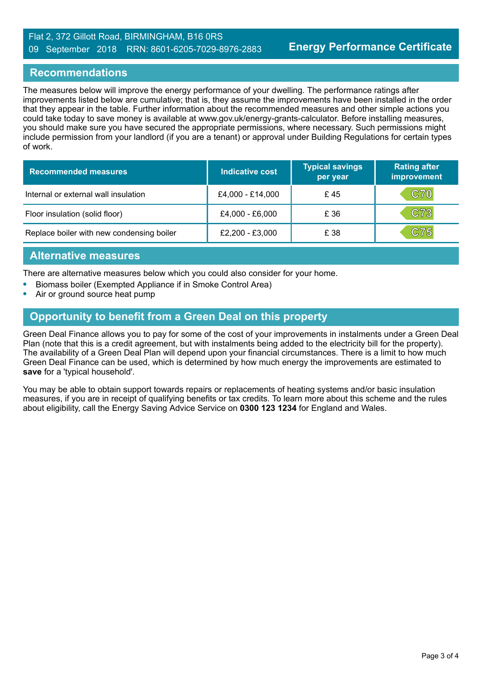#### Flat 2, 372 Gillott Road, BIRMINGHAM, B16 0RS 09 September 2018 RRN: 8601-6205-7029-8976-2883

## **Recommendations**

The measures below will improve the energy performance of your dwelling. The performance ratings after improvements listed below are cumulative; that is, they assume the improvements have been installed in the order that they appear in the table. Further information about the recommended measures and other simple actions you could take today to save money is available at www.gov.uk/energy-grants-calculator. Before installing measures, you should make sure you have secured the appropriate permissions, where necessary. Such permissions might include permission from your landlord (if you are a tenant) or approval under Building Regulations for certain types of work.

| <b>Recommended measures</b>               | Indicative cost  | <b>Typical savings</b><br>per year | <b>Rating after</b><br>improvement |
|-------------------------------------------|------------------|------------------------------------|------------------------------------|
| Internal or external wall insulation      | £4,000 - £14,000 | £45                                | <b>C70</b>                         |
| Floor insulation (solid floor)            | £4,000 - £6,000  | £ 36                               | C73                                |
| Replace boiler with new condensing boiler | £2,200 - £3,000  | £ 38                               | C75                                |

### **Alternative measures**

There are alternative measures below which you could also consider for your home.

- **•** Biomass boiler (Exempted Appliance if in Smoke Control Area)
- **•** Air or ground source heat pump

## **Opportunity to benefit from a Green Deal on this property**

Green Deal Finance allows you to pay for some of the cost of your improvements in instalments under a Green Deal Plan (note that this is a credit agreement, but with instalments being added to the electricity bill for the property). The availability of a Green Deal Plan will depend upon your financial circumstances. There is a limit to how much Green Deal Finance can be used, which is determined by how much energy the improvements are estimated to **save** for a 'typical household'.

You may be able to obtain support towards repairs or replacements of heating systems and/or basic insulation measures, if you are in receipt of qualifying benefits or tax credits. To learn more about this scheme and the rules about eligibility, call the Energy Saving Advice Service on **0300 123 1234** for England and Wales.